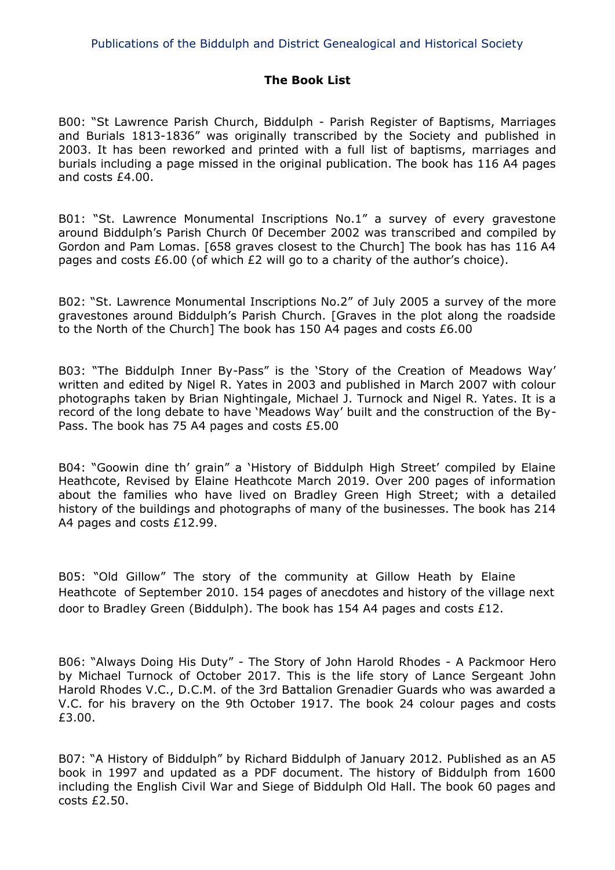# **The Book List**

B00: "St Lawrence Parish Church, Biddulph - Parish Register of Baptisms, Marriages and Burials 1813-1836" was originally transcribed by the Society and published in 2003. It has been reworked and printed with a full list of baptisms, marriages and burials including a page missed in the original publication. The book has 116 A4 pages and costs £4.00.

B01: "St. Lawrence Monumental Inscriptions No.1" a survey of every gravestone around Biddulph's Parish Church 0f December 2002 was transcribed and compiled by Gordon and Pam Lomas. [658 graves closest to the Church] The book has has 116 A4 pages and costs £6.00 (of which £2 will go to a charity of the author's choice).

B02: "St. Lawrence Monumental Inscriptions No.2" of July 2005 a survey of the more gravestones around Biddulph's Parish Church. [Graves in the plot along the roadside to the North of the Church] The book has 150 A4 pages and costs £6.00

B03: "The Biddulph Inner By-Pass" is the 'Story of the Creation of Meadows Way' written and edited by Nigel R. Yates in 2003 and published in March 2007 with colour photographs taken by Brian Nightingale, Michael J. Turnock and Nigel R. Yates. It is a record of the long debate to have 'Meadows Way' built and the construction of the By-Pass. The book has 75 A4 pages and costs £5.00

B04: "Goowin dine th' grain" a 'History of Biddulph High Street' compiled by Elaine Heathcote, Revised by Elaine Heathcote March 2019. Over 200 pages of information about the families who have lived on Bradley Green High Street; with a detailed history of the buildings and photographs of many of the businesses. The book has 214 A4 pages and costs £12.99.

B05: "Old Gillow" The story of the community at Gillow Heath by Elaine Heathcote of September 2010. 154 pages of anecdotes and history of the village next door to Bradley Green (Biddulph). The book has 154 A4 pages and costs £12.

B06: "Always Doing His Duty" - The Story of John Harold Rhodes - A Packmoor Hero by Michael Turnock of October 2017. This is the life story of Lance Sergeant John Harold Rhodes V.C., D.C.M. of the 3rd Battalion Grenadier Guards who was awarded a V.C. for his bravery on the 9th October 1917. The book 24 colour pages and costs £3.00.

B07: "A History of Biddulph" by Richard Biddulph of January 2012. Published as an A5 book in 1997 and updated as a PDF document. The history of Biddulph from 1600 including the English Civil War and Siege of Biddulph Old Hall. The book 60 pages and costs £2.50.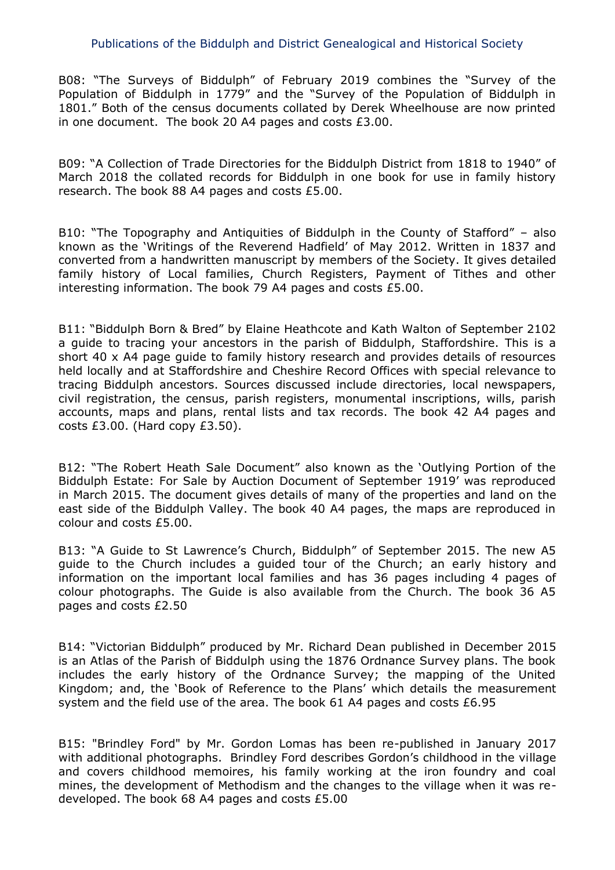B08: "The Surveys of Biddulph" of February 2019 combines the "Survey of the Population of Biddulph in 1779" and the "Survey of the Population of Biddulph in 1801." Both of the census documents collated by Derek Wheelhouse are now printed in one document. The book 20 A4 pages and costs £3.00.

B09: "A Collection of Trade Directories for the Biddulph District from 1818 to 1940" of March 2018 the collated records for Biddulph in one book for use in family history research. The book 88 A4 pages and costs £5.00.

B10: "The Topography and Antiquities of Biddulph in the County of Stafford" – also known as the 'Writings of the Reverend Hadfield' of May 2012. Written in 1837 and converted from a handwritten manuscript by members of the Society. It gives detailed family history of Local families, Church Registers, Payment of Tithes and other interesting information. The book 79 A4 pages and costs £5.00.

B11: "Biddulph Born & Bred" by Elaine Heathcote and Kath Walton of September 2102 a guide to tracing your ancestors in the parish of Biddulph, Staffordshire. This is a short 40 x A4 page guide to family history research and provides details of resources held locally and at Staffordshire and Cheshire Record Offices with special relevance to tracing Biddulph ancestors. Sources discussed include directories, local newspapers, civil registration, the census, parish registers, monumental inscriptions, wills, parish accounts, maps and plans, rental lists and tax records. The book 42 A4 pages and costs £3.00. (Hard copy £3.50).

B12: "The Robert Heath Sale Document" also known as the 'Outlying Portion of the Biddulph Estate: For Sale by Auction Document of September 1919' was reproduced in March 2015. The document gives details of many of the properties and land on the east side of the Biddulph Valley. The book 40 A4 pages, the maps are reproduced in colour and costs £5.00.

B13: "A Guide to St Lawrence's Church, Biddulph" of September 2015. The new A5 guide to the Church includes a guided tour of the Church; an early history and information on the important local families and has 36 pages including 4 pages of colour photographs. The Guide is also available from the Church. The book 36 A5 pages and costs £2.50

B14: "Victorian Biddulph" produced by Mr. Richard Dean published in December 2015 is an Atlas of the Parish of Biddulph using the 1876 Ordnance Survey plans. The book includes the early history of the Ordnance Survey; the mapping of the United Kingdom; and, the 'Book of Reference to the Plans' which details the measurement system and the field use of the area. The book 61 A4 pages and costs £6.95

B15: "Brindley Ford" by Mr. Gordon Lomas has been re-published in January 2017 with additional photographs. Brindley Ford describes Gordon's childhood in the village and covers childhood memoires, his family working at the iron foundry and coal mines, the development of Methodism and the changes to the village when it was redeveloped. The book 68 A4 pages and costs £5.00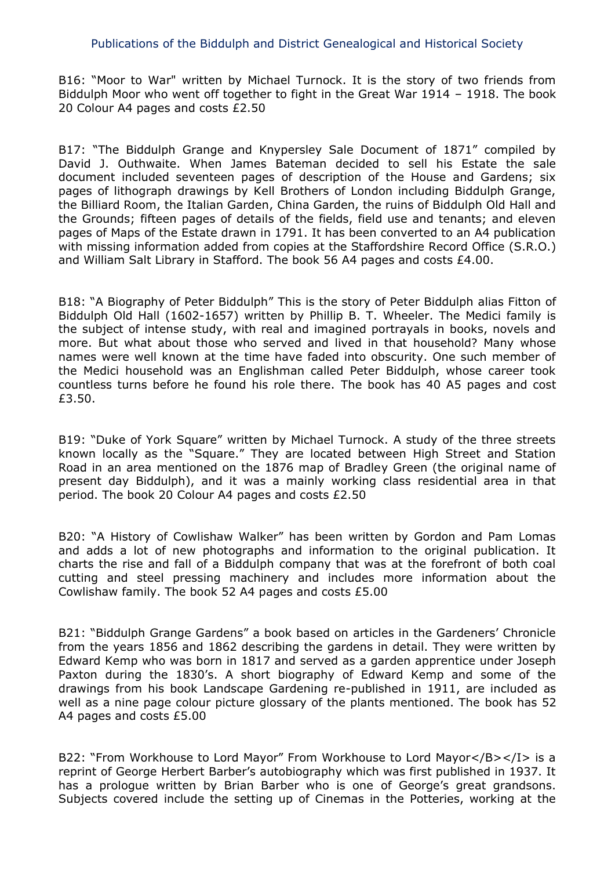B16: "Moor to War" written by Michael Turnock. It is the story of two friends from Biddulph Moor who went off together to fight in the Great War 1914 – 1918. The book 20 Colour A4 pages and costs £2.50

B17: "The Biddulph Grange and Knypersley Sale Document of 1871" compiled by David J. Outhwaite. When James Bateman decided to sell his Estate the sale document included seventeen pages of description of the House and Gardens; six pages of lithograph drawings by Kell Brothers of London including Biddulph Grange, the Billiard Room, the Italian Garden, China Garden, the ruins of Biddulph Old Hall and the Grounds; fifteen pages of details of the fields, field use and tenants; and eleven pages of Maps of the Estate drawn in 1791. It has been converted to an A4 publication with missing information added from copies at the Staffordshire Record Office (S.R.O.) and William Salt Library in Stafford. The book 56 A4 pages and costs £4.00.

B18: "A Biography of Peter Biddulph" This is the story of Peter Biddulph alias Fitton of Biddulph Old Hall (1602-1657) written by Phillip B. T. Wheeler. The Medici family is the subject of intense study, with real and imagined portrayals in books, novels and more. But what about those who served and lived in that household? Many whose names were well known at the time have faded into obscurity. One such member of the Medici household was an Englishman called Peter Biddulph, whose career took countless turns before he found his role there. The book has 40 A5 pages and cost £3.50.

B19: "Duke of York Square" written by Michael Turnock. A study of the three streets known locally as the "Square." They are located between High Street and Station Road in an area mentioned on the 1876 map of Bradley Green (the original name of present day Biddulph), and it was a mainly working class residential area in that period. The book 20 Colour A4 pages and costs £2.50

B20: "A History of Cowlishaw Walker" has been written by Gordon and Pam Lomas and adds a lot of new photographs and information to the original publication. It charts the rise and fall of a Biddulph company that was at the forefront of both coal cutting and steel pressing machinery and includes more information about the Cowlishaw family. The book 52 A4 pages and costs £5.00

B21: "Biddulph Grange Gardens" a book based on articles in the Gardeners' Chronicle from the years 1856 and 1862 describing the gardens in detail. They were written by Edward Kemp who was born in 1817 and served as a garden apprentice under Joseph Paxton during the 1830's. A short biography of Edward Kemp and some of the drawings from his book Landscape Gardening re-published in 1911, are included as well as a nine page colour picture glossary of the plants mentioned. The book has 52 A4 pages and costs £5.00

B22: "From Workhouse to Lord Mayor" From Workhouse to Lord Mayor</B></I> is a reprint of George Herbert Barber's autobiography which was first published in 1937. It has a prologue written by Brian Barber who is one of George's great grandsons. Subjects covered include the setting up of Cinemas in the Potteries, working at the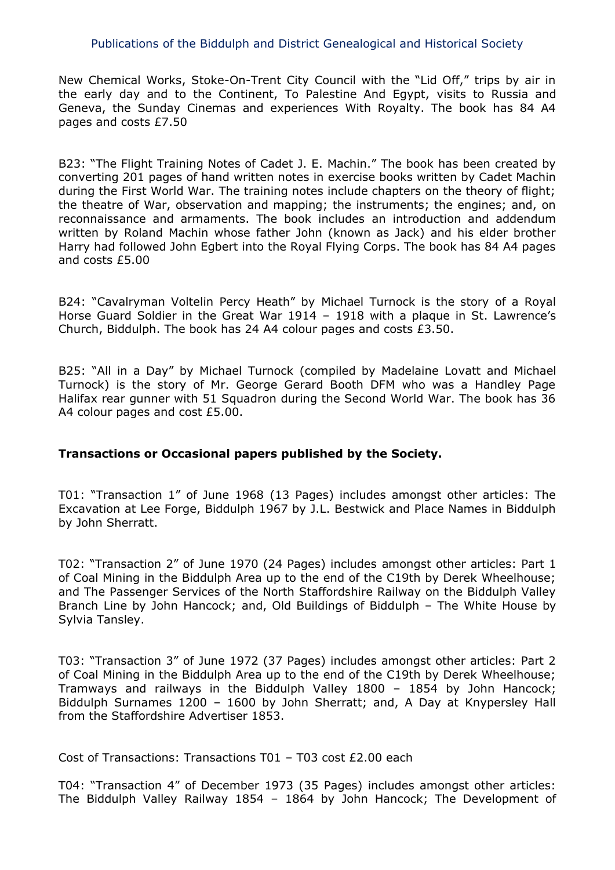New Chemical Works, Stoke-On-Trent City Council with the "Lid Off," trips by air in the early day and to the Continent, To Palestine And Egypt, visits to Russia and Geneva, the Sunday Cinemas and experiences With Royalty. The book has 84 A4 pages and costs £7.50

B23: "The Flight Training Notes of Cadet J. E. Machin." The book has been created by converting 201 pages of hand written notes in exercise books written by Cadet Machin during the First World War. The training notes include chapters on the theory of flight; the theatre of War, observation and mapping; the instruments; the engines; and, on reconnaissance and armaments. The book includes an introduction and addendum written by Roland Machin whose father John (known as Jack) and his elder brother Harry had followed John Egbert into the Royal Flying Corps. The book has 84 A4 pages and costs £5.00

B24: "Cavalryman Voltelin Percy Heath" by Michael Turnock is the story of a Royal Horse Guard Soldier in the Great War 1914 – 1918 with a plaque in St. Lawrence's Church, Biddulph. The book has 24 A4 colour pages and costs £3.50.

B25: "All in a Day" by Michael Turnock (compiled by Madelaine Lovatt and Michael Turnock) is the story of Mr. George Gerard Booth DFM who was a Handley Page Halifax rear gunner with 51 Squadron during the Second World War. The book has 36 A4 colour pages and cost £5.00.

## **Transactions or Occasional papers published by the Society.**

T01: "Transaction 1" of June 1968 (13 Pages) includes amongst other articles: The Excavation at Lee Forge, Biddulph 1967 by J.L. Bestwick and Place Names in Biddulph by John Sherratt.

T02: "Transaction 2" of June 1970 (24 Pages) includes amongst other articles: Part 1 of Coal Mining in the Biddulph Area up to the end of the C19th by Derek Wheelhouse; and The Passenger Services of the North Staffordshire Railway on the Biddulph Valley Branch Line by John Hancock; and, Old Buildings of Biddulph – The White House by Sylvia Tansley.

T03: "Transaction 3" of June 1972 (37 Pages) includes amongst other articles: Part 2 of Coal Mining in the Biddulph Area up to the end of the C19th by Derek Wheelhouse; Tramways and railways in the Biddulph Valley 1800 – 1854 by John Hancock; Biddulph Surnames 1200 – 1600 by John Sherratt; and, A Day at Knypersley Hall from the Staffordshire Advertiser 1853.

Cost of Transactions: Transactions T01 – T03 cost £2.00 each

T04: "Transaction 4" of December 1973 (35 Pages) includes amongst other articles: The Biddulph Valley Railway 1854 – 1864 by John Hancock; The Development of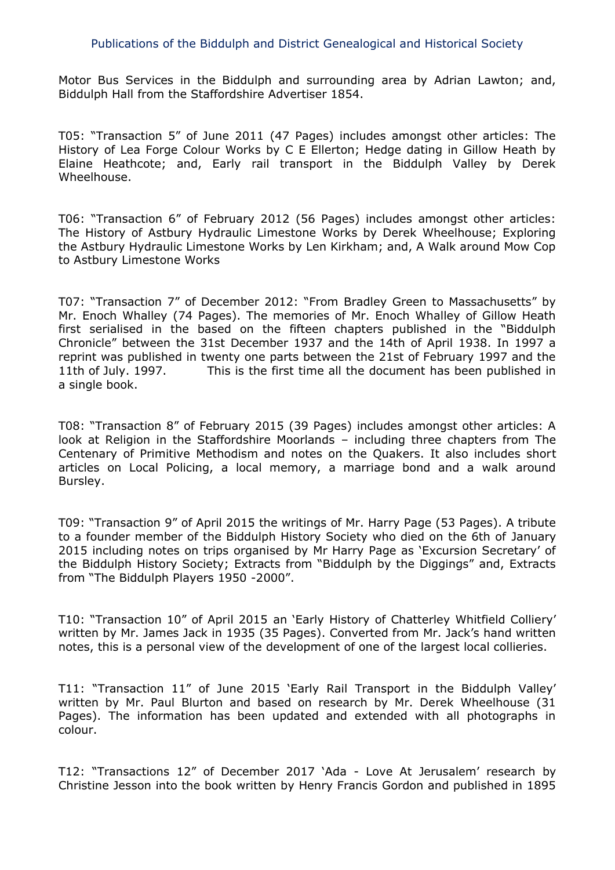Motor Bus Services in the Biddulph and surrounding area by Adrian Lawton; and, Biddulph Hall from the Staffordshire Advertiser 1854.

T05: "Transaction 5" of June 2011 (47 Pages) includes amongst other articles: The History of Lea Forge Colour Works by C E Ellerton; Hedge dating in Gillow Heath by Elaine Heathcote; and, Early rail transport in the Biddulph Valley by Derek Wheelhouse.

T06: "Transaction 6" of February 2012 (56 Pages) includes amongst other articles: The History of Astbury Hydraulic Limestone Works by Derek Wheelhouse; Exploring the Astbury Hydraulic Limestone Works by Len Kirkham; and, A Walk around Mow Cop to Astbury Limestone Works

T07: "Transaction 7" of December 2012: "From Bradley Green to Massachusetts" by Mr. Enoch Whalley (74 Pages). The memories of Mr. Enoch Whalley of Gillow Heath first serialised in the based on the fifteen chapters published in the "Biddulph Chronicle" between the 31st December 1937 and the 14th of April 1938. In 1997 a reprint was published in twenty one parts between the 21st of February 1997 and the 11th of July. 1997. This is the first time all the document has been published in a single book.

T08: "Transaction 8" of February 2015 (39 Pages) includes amongst other articles: A look at Religion in the Staffordshire Moorlands – including three chapters from The Centenary of Primitive Methodism and notes on the Quakers. It also includes short articles on Local Policing, a local memory, a marriage bond and a walk around Bursley.

T09: "Transaction 9" of April 2015 the writings of Mr. Harry Page (53 Pages). A tribute to a founder member of the Biddulph History Society who died on the 6th of January 2015 including notes on trips organised by Mr Harry Page as 'Excursion Secretary' of the Biddulph History Society; Extracts from "Biddulph by the Diggings" and, Extracts from "The Biddulph Players 1950 -2000".

T10: "Transaction 10" of April 2015 an 'Early History of Chatterley Whitfield Colliery' written by Mr. James Jack in 1935 (35 Pages). Converted from Mr. Jack's hand written notes, this is a personal view of the development of one of the largest local collieries.

T11: "Transaction 11" of June 2015 'Early Rail Transport in the Biddulph Valley' written by Mr. Paul Blurton and based on research by Mr. Derek Wheelhouse (31 Pages). The information has been updated and extended with all photographs in colour.

T12: "Transactions 12" of December 2017 'Ada - Love At Jerusalem' research by Christine Jesson into the book written by Henry Francis Gordon and published in 1895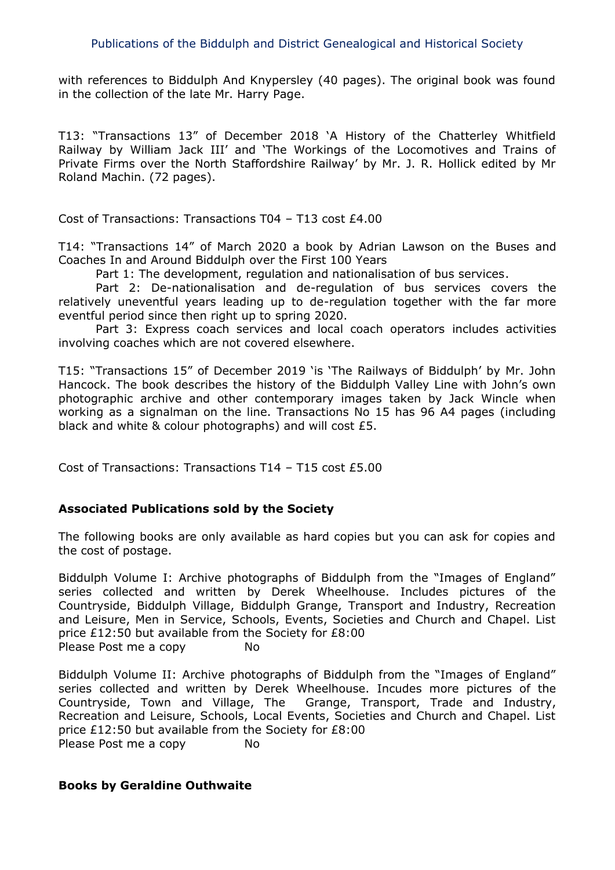with references to Biddulph And Knypersley (40 pages). The original book was found in the collection of the late Mr. Harry Page.

T13: "Transactions 13" of December 2018 'A History of the Chatterley Whitfield Railway by William Jack III' and 'The Workings of the Locomotives and Trains of Private Firms over the North Staffordshire Railway' by Mr. J. R. Hollick edited by Mr Roland Machin. (72 pages).

Cost of Transactions: Transactions T04 – T13 cost £4.00

T14: "Transactions 14" of March 2020 a book by Adrian Lawson on the Buses and Coaches In and Around Biddulph over the First 100 Years

Part 1: The development, regulation and nationalisation of bus services.

Part 2: De-nationalisation and de-regulation of bus services covers the relatively uneventful years leading up to de-regulation together with the far more eventful period since then right up to spring 2020.

Part 3: Express coach services and local coach operators includes activities involving coaches which are not covered elsewhere.

T15: "Transactions 15" of December 2019 'is 'The Railways of Biddulph' by Mr. John Hancock. The book describes the history of the Biddulph Valley Line with John's own photographic archive and other contemporary images taken by Jack Wincle when working as a signalman on the line. Transactions No 15 has 96 A4 pages (including black and white & colour photographs) and will cost £5.

Cost of Transactions: Transactions T14 – T15 cost £5.00

# **Associated Publications sold by the Society**

The following books are only available as hard copies but you can ask for copies and the cost of postage.

Biddulph Volume I: Archive photographs of Biddulph from the "Images of England" series collected and written by Derek Wheelhouse. Includes pictures of the Countryside, Biddulph Village, Biddulph Grange, Transport and Industry, Recreation and Leisure, Men in Service, Schools, Events, Societies and Church and Chapel. List price £12:50 but available from the Society for £8:00 Please Post me a copy No

Biddulph Volume II: Archive photographs of Biddulph from the "Images of England" series collected and written by Derek Wheelhouse. Incudes more pictures of the Countryside, Town and Village, The Grange, Transport, Trade and Industry, Recreation and Leisure, Schools, Local Events, Societies and Church and Chapel. List price £12:50 but available from the Society for £8:00 Please Post me a copy No

## **Books by Geraldine Outhwaite**